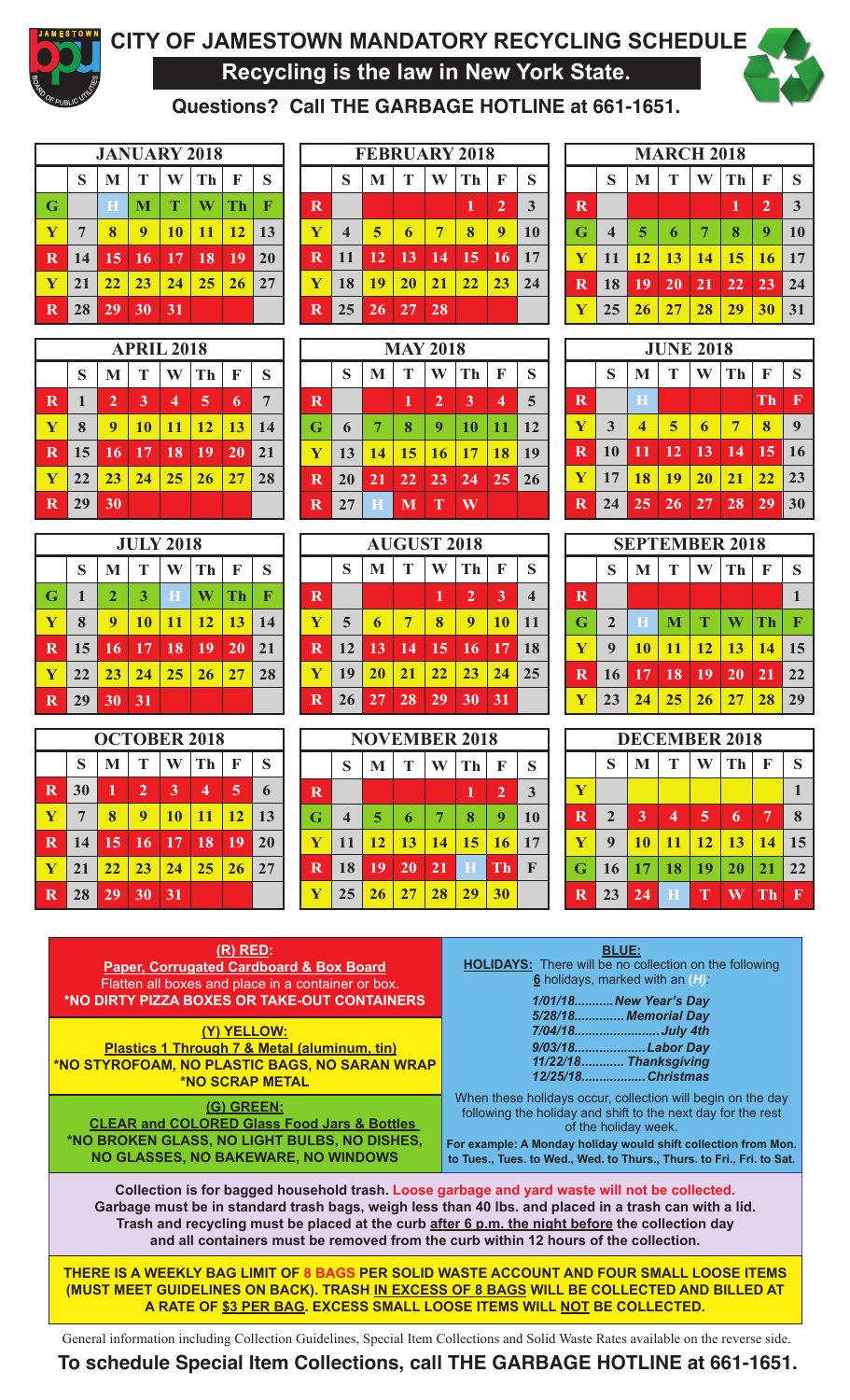

# **CITY OF JAMESTOWN MANDATORY RECYCLING SCHEDULE Recycling is the law in New York State.**



**Questions? Call THE GARBAGE HOTLINE at 661-1651.**

|             |                |    |                 |    | <b>JANUARY 2018</b> |    |    |                         |
|-------------|----------------|----|-----------------|----|---------------------|----|----|-------------------------|
|             | S              | M  | T               | W  | <b>Th</b>           | F  | S  |                         |
| G           |                | H  | M               | T  | W                   | Th | F  | $\overline{\mathbf{R}}$ |
| Y           | $\overline{7}$ | 8  | 9               | 10 | <b>11</b>           | 12 | 13 | Y                       |
| $\mathbf R$ | 14             | 15 | 16              | 17 | 18                  | 19 | 20 | $\overline{\mathbf{R}}$ |
| Y           | 21             | 22 | 23              | 24 | 25                  | 26 | 27 | $\overline{\mathbf{Y}}$ |
| $\mathbf R$ | 28             | 29 | $\overline{30}$ | 31 |                     |    |    | $\mathbf R$             |

|             | <b>APRIL 2018</b> |                |                |                         |                  |    |    |  |  |  |  |  |  |  |  |
|-------------|-------------------|----------------|----------------|-------------------------|------------------|----|----|--|--|--|--|--|--|--|--|
|             | S                 | $\mathbf{M}$   | T              | W                       | Th               | F  | S  |  |  |  |  |  |  |  |  |
| $\mathbf R$ | $\mathbf{1}$      | $\overline{2}$ | $\overline{3}$ | $\overline{\mathbf{4}}$ | 5                | 6  | 7  |  |  |  |  |  |  |  |  |
| Y           | 8                 | 9              | <b>10</b>      | <b>11</b>               | <b>12</b>        | 13 | 14 |  |  |  |  |  |  |  |  |
| $\mathbf R$ | 15                | 16             | 17             | 18                      | 19               | 20 | 21 |  |  |  |  |  |  |  |  |
| Y           | 22                | 23             | 24             | <b>25</b>               | $\vert 26 \vert$ | 27 | 28 |  |  |  |  |  |  |  |  |
| $\bf R$     | 29                | 30             |                |                         |                  |    |    |  |  |  |  |  |  |  |  |

|                           |    |                              |                | <b>JULY 2018</b> |    |           |             |
|---------------------------|----|------------------------------|----------------|------------------|----|-----------|-------------|
|                           | S  | M                            | T              | W                | Th | F         | S           |
| G                         | 1  | $\overline{2}$               | $\overline{3}$ | H                | W  | Th        | $\mathbf F$ |
| $\mathbf Y$               | 8  | $\boldsymbol{9}$             | <b>10</b>      | 11               | 12 | 13        | 14          |
| $\boldsymbol{\mathbb{R}}$ |    | $15 \mid 16 \mid 17 \mid 18$ |                |                  | 19 | 20        | 21          |
| Y                         | 22 | 23                           | 24             | $\vert 25 \vert$ | 26 | <b>27</b> | 28          |
| $\bf R$                   | 29 | 30                           | 31             |                  |    |           |             |

|             |           |           |                |                | <b>OCTOBER 2018</b> |           |    |
|-------------|-----------|-----------|----------------|----------------|---------------------|-----------|----|
|             | S         | M         | T              | W              | Th                  | F         | S  |
| $\mathbf R$ | 30        | <b>IJ</b> | $\overline{2}$ | $\overline{3}$ | 4                   | 5         | 6  |
| Y           | 7         | 8         | 9              | <b>10</b>      | <b>11</b>           | <b>12</b> | 13 |
| $\mathbf R$ | 14        | 15        | <b>16</b>      | <b>17</b>      | 18                  | 19        | 20 |
| Y           | <b>21</b> | 22        | 23             | 24             | 25                  | 26        | 27 |
| $\bf{R}$    | 28        | 29        | 30             | 31             |                     |           |    |

|                         |                         |           |           |    | <b>FEBRUARY 2018</b> |                |    |                         |                         |    | <b>MARCH 2018</b> |    |    |
|-------------------------|-------------------------|-----------|-----------|----|----------------------|----------------|----|-------------------------|-------------------------|----|-------------------|----|----|
|                         | S                       | M         | Т         | W  | Th                   | F              | S  |                         | S                       | M  | Т                 | W  | Th |
| $\overline{\mathbf{R}}$ |                         |           |           |    | 1                    | $\overline{2}$ | 3  | $\overline{\mathbf{R}}$ |                         |    |                   |    |    |
| Ÿ                       | $\overline{\mathbf{4}}$ | 5         | 6         | 7  | 8                    | 9              | 10 | G                       | $\overline{\mathbf{4}}$ | 5  | 6                 | 7  | 8  |
| $\bf R$                 | 11                      | <b>12</b> | 13        | 14 | 15                   | 16             | 17 | Y                       | 11                      | 12 | <b>13</b>         | 14 | 15 |
| Y                       | 18                      | 19        | <b>20</b> | 21 | 22                   | 23             | 24 | R                       | 18                      | 19 | <b>20</b>         | 21 | 22 |
| R                       | 25                      | 26        | 27        | 28 |                      |                |    | Y                       | 25                      | 26 | 27                | 28 | 29 |

|                         |    |    | <b>MAY 2018</b> |                |           |           |    |             |    |                         | <b>JUNE 20</b> |    |
|-------------------------|----|----|-----------------|----------------|-----------|-----------|----|-------------|----|-------------------------|----------------|----|
|                         | S  | M  | Т               | W              | <b>Th</b> | F         | S  |             | S  | M                       | Т              | W  |
| $\overline{\mathbf{R}}$ |    |    | 1               | $\overline{2}$ | 3         | 4         | 5  | $\bf R$     |    | $\bf H$                 |                |    |
| G                       | 6  | 7  | 8               | 9              | <b>10</b> | 11        | 12 | $\mathbf Y$ | 3  | $\overline{\mathbf{4}}$ | 5              | 6  |
| Y                       | 13 | 14 | <b>15</b>       | <b>16</b>      | 17        | <b>18</b> | 19 | $\mathbf R$ | 10 | 11                      | 12             | 13 |
| $\overline{\mathbf{R}}$ | 20 | 21 | 22              | 23             | 24        | 25        | 26 | Y           | 17 | 18                      | 19             | 20 |
| $\mathbf R$             | 27 | Н  | M               | T              | W         |           |    | $\mathbf R$ | 24 | 25                      | 26             | 27 |
|                         |    |    |                 |                |           |           |    |             |    |                         |                |    |

| <b>JULY 2018</b>                  |             |          | <b>AUGUST 2018</b> |    |    |    |    |             |             |    |    |    | <b>SEPTEMBER 2018</b> |                 |
|-----------------------------------|-------------|----------|--------------------|----|----|----|----|-------------|-------------|----|----|----|-----------------------|-----------------|
| S<br><b>Th</b><br>W<br>F          |             | S<br>M   | Т                  | W  | Th | F  | S  |             | S           | M  |    | W  | Th                    | F               |
| $\bf H$<br>W<br>F<br>3<br>Th      | $\mathbf R$ |          |                    |    | 2  | 3  | 4  | $\mathbf R$ |             |    |    |    |                       |                 |
| <b>10</b><br>12<br>13<br>11<br>14 | Y           | 5<br>6   |                    | 8  | 9  | 10 | 11 | G           | $\mathbf 2$ | H  | M  | т  | W                     | T               |
| 18<br>17<br>19<br>20<br>21        | R           | 13<br>12 | 14                 | 15 | 16 | 17 | 18 |             | 9           | 10 | 11 | 12 | <b>13</b>             | $\mathbf{1}$    |
| 25<br>27<br>28<br>26<br>24        |             | 19<br>20 | 21                 | 22 | 23 | 24 | 25 | $\mathbf R$ | 16          | 17 | 18 | 19 | <b>20</b>             | $\vert 2 \vert$ |
| 31                                | R           | 27<br>26 | 28                 | 29 | 30 | 31 |    |             | 23          | 24 | 25 | 26 |                       | $\overline{2}$  |
|                                   |             |          |                    |    |    |    |    |             |             |    |    |    |                       |                 |

|    |                       |    | <b>OCTOBER 2018</b> |    |    |             |    |    |    |    | <b>NOVEMBER 2018</b> |    |             |             |              |    | <b>DECEMBER 2018</b> |                 |    |                      |
|----|-----------------------|----|---------------------|----|----|-------------|----|----|----|----|----------------------|----|-------------|-------------|--------------|----|----------------------|-----------------|----|----------------------|
| M  |                       | W  | Th                  | F  | S  |             | S  | M  |    | W  | Th                   | F  | S           |             | S            | M  | Т                    | W               |    | ŀ                    |
|    | $\mathbf{2}^{\prime}$ | 3  | 4                   | 5  | O  | $\bf R$     |    |    |    |    |                      | 2  | 3           | $\mathbf Y$ |              |    |                      |                 |    |                      |
| 8  | 9                     | 10 | 11                  | 12 | 13 | G           | 4  | 5  | h  | 7  | 8                    | 9  | 10          | $\mathbf R$ | $\mathbf{2}$ | 3  | 4                    | 5               | 6  | 7                    |
| 15 | 16                    | 17 | 18                  | 19 | 20 |             | 11 | 12 | 13 | 14 | 15                   | 16 | 17          | $\mathbf V$ | 9            | 10 |                      | $\overline{12}$ | 13 | $\blacksquare$       |
| 22 | 23                    | 24 | 25                  | 26 | 27 | $\mathbf R$ | 18 | 19 | 20 | 21 | $\bf H$              | Th | $\mathbf F$ | G           | 16           | 7  | 18                   | 19              | 20 | $\mathbf{2}^{\circ}$ |
| 29 | 30                    | 31 |                     |    |    |             | 25 | 26 |    | 28 | 29                   | 30 |             | $\mathbf R$ | 23           | 24 | Н                    |                 |    |                      |

|           |    |    | <b>EBRUARY 2018</b> |                |    |   |                         |    | <b>MARCH 2018</b> |    |    |                |           |
|-----------|----|----|---------------------|----------------|----|---|-------------------------|----|-------------------|----|----|----------------|-----------|
| M         | Т  | W  | Th                  | F              | S  |   | S                       | M  |                   | W  | Th | F              | S         |
|           |    |    | 1                   | $\overline{2}$ | 3  | R |                         |    |                   |    | 1  | $\overline{2}$ | 3         |
| 5         | 6  | 7  | 8                   | 9              | 10 | G | $\overline{\mathbf{4}}$ | 5  | 6                 | 7  | 8  | 9              | <b>10</b> |
| 12        | 13 | 14 | 15                  | 16             | 17 | Y | 11                      | 12 | 13                | 14 | 15 | <b>16</b>      | 17        |
| <b>19</b> | 20 | 21 | 22                  | 23             | 24 | R | 18                      | 19 | 20                | 21 | 22 | 23             | 24        |
| <b>26</b> | 27 | 28 |                     |                |    | Y | 25                      | 26 | 27                | 28 | 29 | 30             | 31        |

|    | <b>MAY 2018</b> |           |           |    |             |           |                         | <b>JUNE 2018</b> |    |    |    |             |
|----|-----------------|-----------|-----------|----|-------------|-----------|-------------------------|------------------|----|----|----|-------------|
| Т  | W               | Th        | F         | S  |             | S         | M                       | Т                | W  | Th | F  | S           |
| 1  | $\overline{2}$  | 3         | 4         | 5  | $\mathbf R$ |           | H                       |                  |    |    | Th | $\mathbf F$ |
| 8  | 9               | <b>10</b> | 11        | 12 | Y           | 3         | $\overline{\mathbf{4}}$ | 5                | 6  | 7  | 8  | 9           |
| 15 | <b>16</b>       | 17        | <b>18</b> | 19 | $\mathbf R$ | <b>10</b> | 11                      | 12               | 13 | 14 | 15 | 16          |
| 22 | 23              | 24        | 25        | 26 | Y           | 17        | 18                      | 19               | 20 | 21 | 22 | 23          |
| M  | Т               | W         |           |    | $\mathbf R$ | 24        | 25                      | 26               | 27 | 28 | 29 | 30          |

|           | <b>AUGUST 2018</b> |    |                |           |    |             |             |           |    |    | <b>SEPTEMBER 2018</b> |    |              |
|-----------|--------------------|----|----------------|-----------|----|-------------|-------------|-----------|----|----|-----------------------|----|--------------|
| M         | т                  | W  | Th             | F         | S  |             | S           | M         | Т  | W  | Th                    | F  | S            |
|           |                    | 1  | $\overline{2}$ | 3         | 4  | $\mathbf R$ |             |           |    |    |                       |    | $\mathbf{1}$ |
| 6         | 7                  | 8  | 9              | <b>10</b> | 11 | G           | $\mathbf 2$ | H         | M  | T  | W                     | Th | F            |
| 13        | 14                 | 15 | 16             | 17        | 18 | Y           | 9           | <b>10</b> | 11 | 12 | 13                    | 14 | 15           |
| <b>20</b> | 21                 | 22 | 23             | 24        | 25 | $\mathbf R$ | 16          | 17        | 18 | 19 | 20                    | 21 | 22           |
| 27        | 28                 | 29 | 30             | 31        |    | Y           | 23          | 24        | 25 | 26 | 27                    | 28 | 29           |

|    |    |    | <b>OCTOBER 2018</b>     |    |             |         |                         |    |    |    | <b>NOVEMBER 2018</b> |                |             |                         |                |    |                         |    | <b>DECEMBER 2018</b> |              |         |
|----|----|----|-------------------------|----|-------------|---------|-------------------------|----|----|----|----------------------|----------------|-------------|-------------------------|----------------|----|-------------------------|----|----------------------|--------------|---------|
| M  |    | W  | Th                      | F  | S           |         | S                       | M  | m  | W  | Th                   | F              | S           |                         | c<br>r.        | M  | $\blacksquare$          | W  | Th                   | F            | c<br>D. |
|    | 2  | 3  | $\overline{\mathbf{4}}$ | 5  | $\mathbf b$ | $\bf R$ |                         |    |    |    |                      | $\overline{2}$ | 3           | $\mathbf Y$             |                |    |                         |    |                      |              |         |
| 8  | q  | 10 | 11                      | 12 | 13          | G       | $\overline{\mathbf{4}}$ | 5  | h  | 7  | 8                    | 9              | 10          | $\overline{\mathbf{R}}$ | $\overline{2}$ | 3  | $\overline{\mathbf{4}}$ | 5  | 6                    | $\mathbf{r}$ | 8       |
| 15 | 16 | 17 | 18                      | 19 | 20          |         | 11                      | 12 | 13 | 14 | 15                   | 16             | 17          | $\blacktriangledown$    | 9              | 10 | 11                      | 12 | 13                   | 14           | 15      |
| 22 | 23 | 24 | 25                      | 26 | 27          | $\bf R$ | 18                      | 19 | 20 | 21 | H                    | <b>Th</b>      | $\mathbf F$ | G                       | 16             |    | 18                      | 19 | 20                   | 21           | 22      |
| 29 | 30 | 31 |                         |    |             |         | 25                      | 26 | 27 | 28 | 29                   | 30             |             | R                       | 23             | 24 | Н                       |    | W                    | Тh           | R       |

**BLUE: HOLIDAYS:** There will be no collection on the following **6** holidays, marked with an **(***H):*

> *1/01/18...........New Year's Day 5/28/18.............. Memorial Day 7/04/18........................July 4th 9/03/18....................Labor Day 11/22/18............ Thanksgiving 12/25/18..................Christmas*

When these holidays occur, collection will begin on the day following the holiday and shift to the next day for the rest of the holiday week.

**For example: A Monday holiday would shift collection from Mon. to Tues., Tues. to Wed., Wed. to Thurs., Thurs. to Fri., Fri. to Sat.**

**Collection is for bagged household trash. Loose garbage and yard waste will not be collected. Garbage must be in standard trash bags, weigh less than 40 lbs. and placed in a trash can with a lid. Trash and recycling must be placed at the curb after 6 p.m. the night before the collection day and all containers must be removed from the curb within 12 hours of the collection.**

**THERE IS A WEEKLY BAG LIMIT OF 8 BAGS PER SOLID WASTE ACCOUNT AND FOUR SMALL LOOSE ITEMS (MUST MEET GUIDELINES ON BACK). TRASH IN EXCESS OF 8 BAGS WILL BE COLLECTED AND BILLED AT A RATE OF \$3 PER BAG. EXCESS SMALL LOOSE ITEMS WILL NOT BE COLLECTED.**

General information including Collection Guidelines, Special Item Collections and Solid Waste Rates available on the reverse side.

### **To schedule Special Item Collections, call THE GARBAGE HOTLINE at 661-1651.**

**(R) RED: Paper, Corrugated Cardboard & Box Board** Flatten all boxes and place in a container or box. **\*NO DIRTY PIZZA BOXES OR TAKE-OUT CONTAINERS** 

**(Y) YELLOW: Plastics 1 Through 7 & Metal (aluminum, tin) \*NO STYROFOAM, NO PLASTIC BAGS, NO SARAN WRAP \*NO SCRAP METAL**

**(G) GREEN:**

 **CLEAR and COLORED Glass Food Jars & Bottles \*NO BROKEN GLASS, NO LIGHT BULBS, NO DISHES, NO GLASSES, NO BAKEWARE, NO WINDOWS**